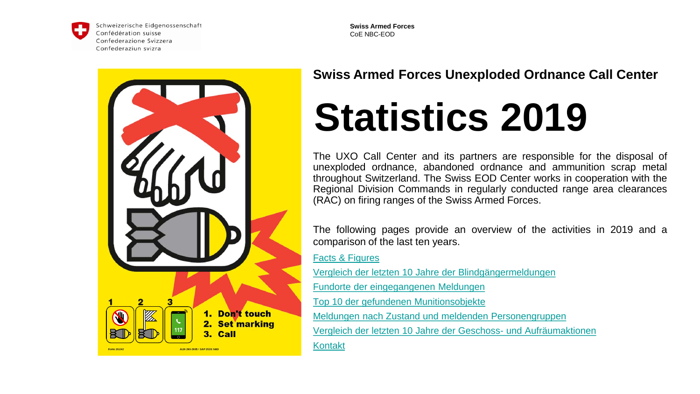<span id="page-0-0"></span>

Schweizerische Eidgenossenschaft Confédération suisse Confederazione Svizzera Confederaziun svizra

**Swiss Armed Forces**  CoE NBC-EOD



### **Swiss Armed Forces Unexploded Ordnance Call Center**

# **Statistics 2019**

The UXO Call Center and its partners are responsible for the disposal of unexploded ordnance, abandoned ordnance and ammunition scrap metal throughout Switzerland. The Swiss EOD Center works in cooperation with the Regional Division Commands in regularly conducted range area clearances (RAC) on firing ranges of the Swiss Armed Forces.

The following pages provide an overview of the activities in 2019 and a comparison of the last ten years.

[Facts & Figures](#page-1-0)

[Vergleich der letzten 10 Jahre der Blindgängermeldungen](#page-2-0)

[Fundorte der eingegangenen Meldungen](#page-3-0)

[Top 10 der gefundenen Munitionsobjekte](#page-4-0)

[Meldungen nach Zustand und meldenden Personengruppen](#page-5-0)

[Vergleich der letzten 10 Jahre der Geschoss-](#page-6-0) und Aufräumaktionen

[Kontakt](#page-7-0)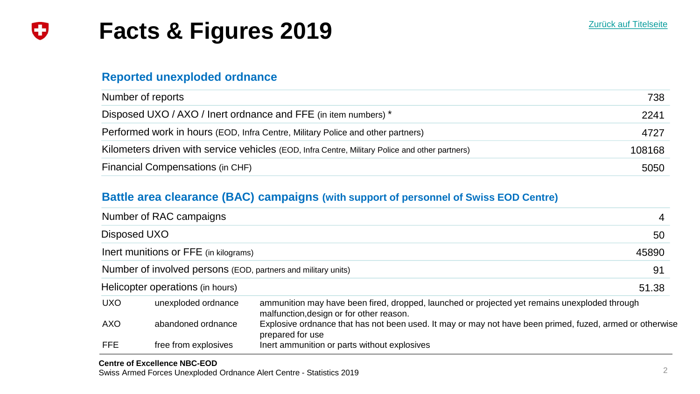### <span id="page-1-0"></span>**Facts & Figures 2019** IJ

### **Reported unexploded ordnance**

| Number of reports                                                                               | 738    |
|-------------------------------------------------------------------------------------------------|--------|
| Disposed UXO / AXO / Inert ordnance and FFE (in item numbers) *                                 | 2241   |
| Performed work in hours (EOD, Infra Centre, Military Police and other partners)                 | 4727   |
| Kilometers driven with service vehicles (EOD, Infra Centre, Military Police and other partners) | 108168 |
| Financial Compensations (in CHF)                                                                | 5050   |

### **Battle area clearance (BAC) campaigns (with support of personnel of Swiss EOD Centre)**

|                                       | Number of RAC campaigns                                       |                                                                                                                                           | 4     |
|---------------------------------------|---------------------------------------------------------------|-------------------------------------------------------------------------------------------------------------------------------------------|-------|
|                                       | Disposed UXO                                                  |                                                                                                                                           | 50    |
| Inert munitions or FFE (in kilograms) |                                                               |                                                                                                                                           | 45890 |
|                                       | Number of involved persons (EOD, partners and military units) |                                                                                                                                           | 91    |
| Helicopter operations (in hours)      |                                                               | 51.38                                                                                                                                     |       |
| <b>UXO</b>                            | unexploded ordnance                                           | ammunition may have been fired, dropped, launched or projected yet remains unexploded through<br>malfunction, design or for other reason. |       |
| <b>AXO</b>                            | abandoned ordnance                                            | Explosive ordnance that has not been used. It may or may not have been primed, fuzed, armed or otherwise<br>prepared for use              |       |
| <b>FFE</b>                            | free from explosives                                          | Inert ammunition or parts without explosives                                                                                              |       |

Swiss Armed Forces Unexploded Ordnance Alert Centre - Statistics 2019 2001 2003 2019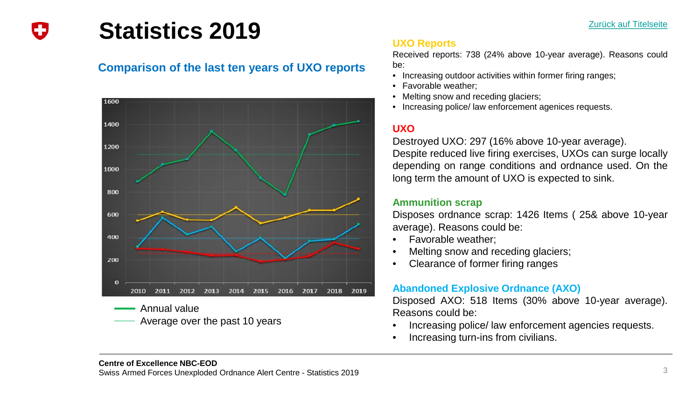<span id="page-2-0"></span>

### **Statistics 2019**

### **Comparison of the last ten years of UXO reports**



Annual value Average over the past 10 years

### **UXO Reports**

Received reports: 738 (24% above 10-year average). Reasons could be:

- Increasing outdoor activities within former firing ranges;
- Favorable weather;
- Melting snow and receding glaciers;
- Increasing police/ law enforcement agenices requests.

### **UXO**

Destroyed UXO: 297 (16% above 10-year average). Despite reduced live firing exercises, UXOs can surge locally depending on range conditions and ordnance used. On the long term the amount of UXO is expected to sink.

### **Ammunition scrap**

Disposes ordnance scrap: 1426 Items ( 25& above 10-year average). Reasons could be:

- Favorable weather;
- Melting snow and receding glaciers;
- Clearance of former firing ranges

### **Abandoned Explosive Ordnance (AXO)**

Disposed AXO: 518 Items (30% above 10-year average). Reasons could be:

- Increasing police/ law enforcement agencies requests.
- Increasing turn-ins from civilians.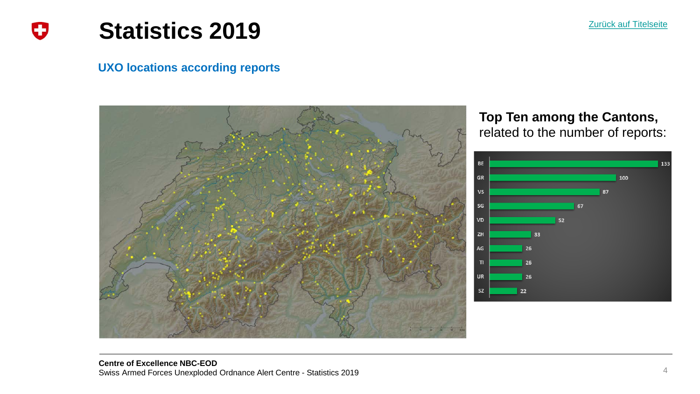

### <span id="page-3-0"></span>**Statistics 2019** IJ

### **UXO locations according reports**



### **Top Ten among the Cantons,**  related to the number of reports:

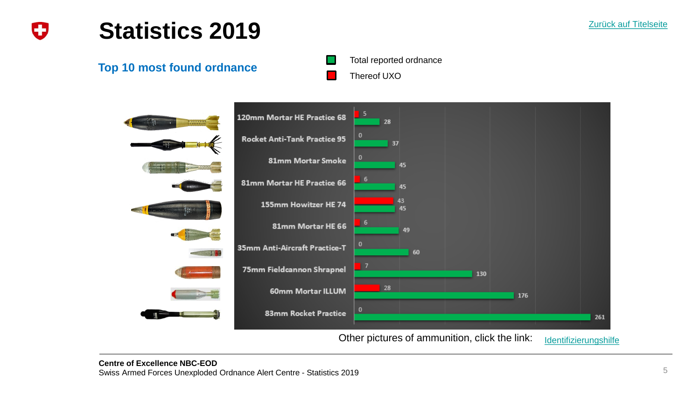<span id="page-4-0"></span>

### **Statistics 2019**

**Top 10 most found ordnance**





Other pictures of ammunition, click the link: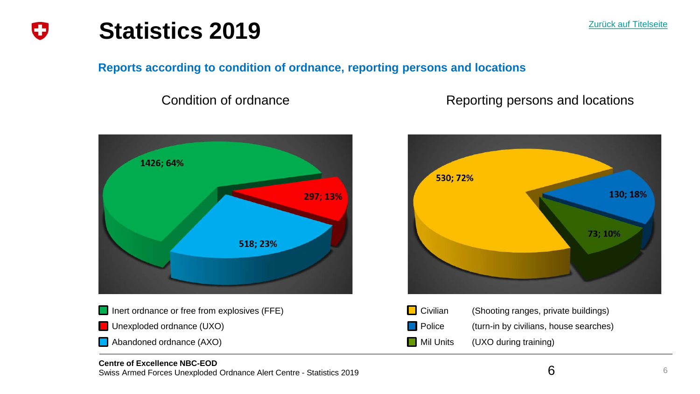<span id="page-5-0"></span>

**Reports according to condition of ordnance, reporting persons and locations**

Condition of ordnance **Reporting persons and locations** 

[Zurück auf Titelseite](#page-0-0)





**Police** (turn-in by civilians, house searches)

6

**Mil Units** (UXO during training)

#### **Centre of Excellence NBC-EOD**

Swiss Armed Forces Unexploded Ordnance Alert Centre - Statistics 2019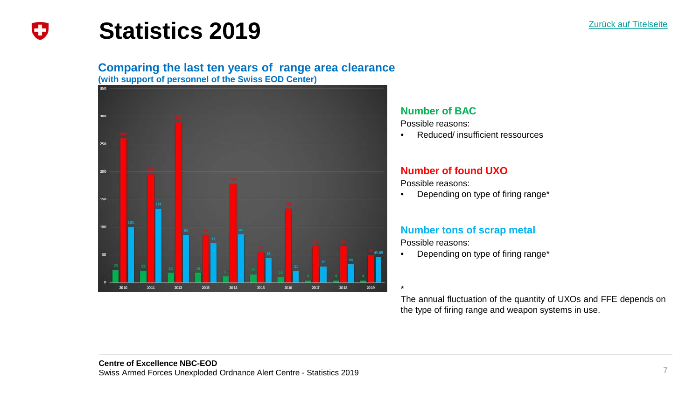

### **Statistics 2019**

<span id="page-6-0"></span>Ð

### **Comparing the last ten years of range area clearance**

**(with support of personnel of the Swiss EOD Center)** 



#### **Number of BAC**

Possible reasons:

• Reduced/ insufficient ressources

### **Number of found UXO**

Possible reasons:

• Depending on type of firing range\*

### **Number tons of scrap metal**

Possible reasons:

• Depending on type of firing range\*

\* The annual fluctuation of the quantity of UXOs and FFE depends on the type of firing range and weapon systems in use.